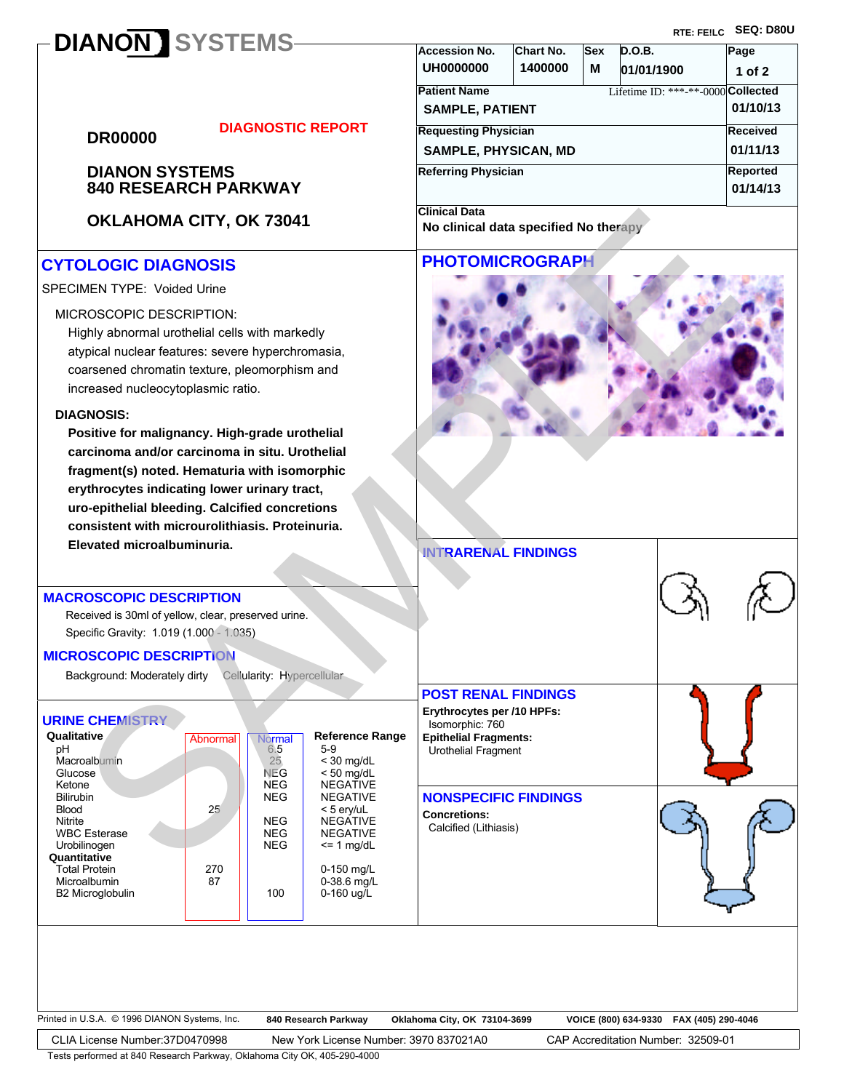# **DIANON SYSTEMS**

**RTE: FE!LC SEQ: D80U**

| <b>DR00000</b> |  |  |
|----------------|--|--|
|                |  |  |

# **DIAGNOSTIC REPORT**

# **840 RESEARCH PARKWAY DIANON SYSTEMS**

**OKLAHOMA CITY, OK 73041**

# **CYTOLOGIC DIAGNOSIS**

## SPECIMEN TYPE: Voided Urine

### MICROSCOPIC DESCRIPTION:

Highly abnormal urothelial cells with markedly atypical nuclear features: severe hyperchromasia, coarsened chromatin texture, pleomorphism and increased nucleocytoplasmic ratio.

#### **DIAGNOSIS:**

**Positive for malignancy. High-grade urothelial carcinoma and/or carcinoma in situ. Urothelial fragment(s) noted. Hematuria with isomorphic erythrocytes indicating lower urinary tract, uro-epithelial bleeding. Calcified concretions consistent with microurolithiasis. Proteinuria. Elevated microalbuminuria.**

## **MACROSCOPIC DESCRIPTION**

 Specific Gravity: 1.019 (1.000 - 1.035) Received is 30ml of yellow, clear, preserved urine.

## **MICROSCOPIC DESCRIPTION**

Background: Moderately dirty Cellularity: Hypercellular

## **URINE CHEMISTRY**

| Qualitative          | Abnormal | Normal     | <b>Reference Range</b> |
|----------------------|----------|------------|------------------------|
| pН                   |          | 6.5        | $5-9$                  |
| Macroalbumin         |          | 25         | $<$ 30 mg/dL           |
| Glucose              |          | NEG        | $<$ 50 mg/dL           |
| Ketone               |          | <b>NEG</b> | <b>NEGATIVE</b>        |
| <b>Bilirubin</b>     |          | <b>NEG</b> | <b>NEGATIVE</b>        |
| <b>Blood</b>         | 25       |            | $<$ 5 erv/uL           |
| Nitrite              |          | <b>NEG</b> | <b>NEGATIVE</b>        |
| <b>WBC Esterase</b>  |          | <b>NEG</b> | <b>NEGATIVE</b>        |
| Urobilinogen         |          | <b>NEG</b> | $\leq$ 1 mg/dL         |
| Quantitative         |          |            |                        |
| <b>Total Protein</b> | 270      |            | 0-150 $mg/L$           |
| Microalbumin         | 87       |            | 0-38.6 mg/L            |
| B2 Microglobulin     |          | 100        | 0-160 ug/L             |
|                      |          |            |                        |

| Printed in U.S.A. © 1996 DIANON Systems, Inc. | 840 Research Parkway | Oklahoma City, OK 73104-3699 | VOICE (800) 634-9330    FAX (405) 290-4046 |  |
|-----------------------------------------------|----------------------|------------------------------|--------------------------------------------|--|
|                                               |                      |                              |                                            |  |

CLIA License Number:37D0470998 New York License Number: 3970 837021A0 CAP Accreditation Number: 32509-01

Tests performed at 840 Research Parkway, Oklahoma City OK, 405-290-4000

| <b>Accession No.</b>        | Chart No. | <b>Sex</b> | D.O.B.                             | Page       |  |  |
|-----------------------------|-----------|------------|------------------------------------|------------|--|--|
| <b>UH0000000</b>            | 1400000   | М          | 01/01/1900                         | $1$ of $2$ |  |  |
| <b>Patient Name</b>         |           |            | Lifetime ID: ***-**-0000 Collected |            |  |  |
| <b>SAMPLE, PATIENT</b>      |           |            |                                    | 01/10/13   |  |  |
| <b>Requesting Physician</b> |           |            |                                    | Received   |  |  |
| <b>SAMPLE, PHYSICAN, MD</b> |           |            |                                    | 01/11/13   |  |  |
| Referring Physician         |           |            |                                    | Reported   |  |  |
|                             |           |            |                                    | 01/14/13   |  |  |
| <b>Clinical Data</b>        |           |            |                                    |            |  |  |

**No clinical data specified No therapy**

# **PHOTOMICROGRAPH**



**INTRARENAL FINDINGS**

**POST RENAL FINDINGS Erythrocytes per /10 HPFs:**  Isomorphic: 760

**Epithelial Fragments:**  Urothelial Fragment

### **NONSPECIFIC FINDINGS**

**Concretions:** Calcified (Lithiasis)